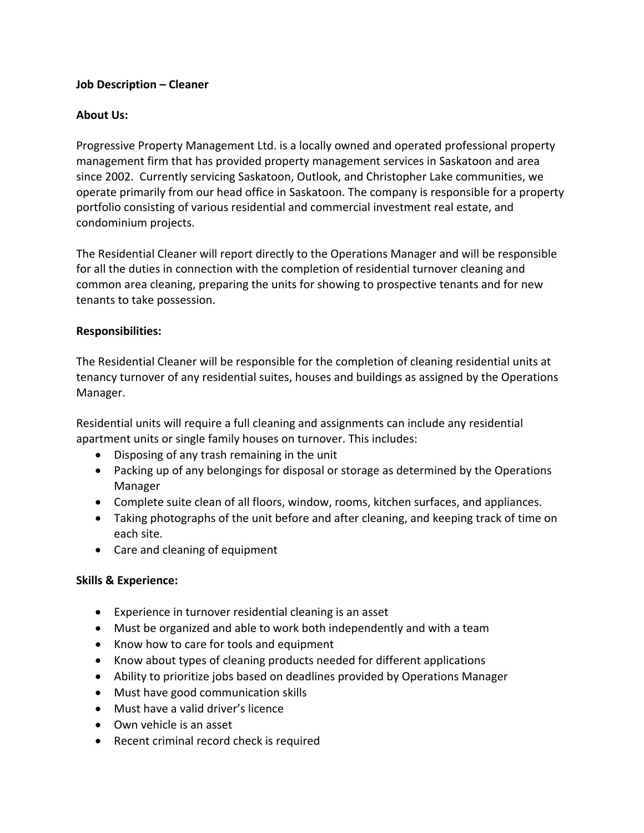# **Job Description – Cleaner**

# **About Us:**

Progressive Property Management Ltd. is a locally owned and operated professional property management firm that has provided property management services in Saskatoon and area since 2002. Currently servicing Saskatoon, Outlook, and Christopher Lake communities, we operate primarily from our head office in Saskatoon. The company is responsible for a property portfolio consisting of various residential and commercial investment real estate, and condominium projects.

The Residential Cleaner will report directly to the Operations Manager and will be responsible for all the duties in connection with the completion of residential turnover cleaning and common area cleaning, preparing the units for showing to prospective tenants and for new tenants to take possession.

### **Responsibilities:**

The Residential Cleaner will be responsible for the completion of cleaning residential units at tenancy turnover of any residential suites, houses and buildings as assigned by the Operations Manager.

Residential units will require a full cleaning and assignments can include any residential apartment units or single family houses on turnover. This includes:

- Disposing of any trash remaining in the unit
- Packing up of any belongings for disposal or storage as determined by the Operations Manager
- Complete suite clean of all floors, window, rooms, kitchen surfaces, and appliances.
- Taking photographs of the unit before and after cleaning, and keeping track of time on each site.
- Care and cleaning of equipment

### **Skills & Experience:**

- Experience in turnover residential cleaning is an asset
- Must be organized and able to work both independently and with a team
- Know how to care for tools and equipment
- Know about types of cleaning products needed for different applications
- Ability to prioritize jobs based on deadlines provided by Operations Manager
- Must have good communication skills
- Must have a valid driver's licence
- Own vehicle is an asset
- Recent criminal record check is required